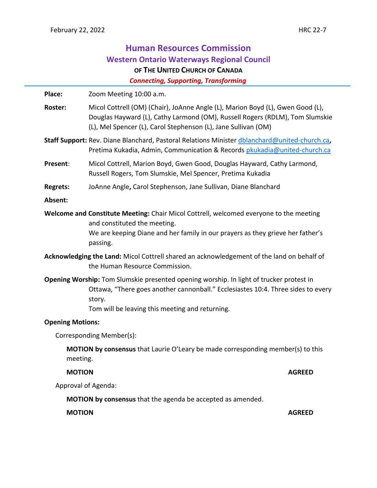# **Human Resources Commission Western Ontario Waterways Regional Council OF THE UNITED CHURCH OF CANADA**

 *Connecting, Supporting, Transforming*

Place: Zoom Meeting 10:00 a.m. **Roster:** Micol Cottrell (OM) (Chair), JoAnne Angle (L), Marion Boyd (L), Gwen Good (L), Douglas Hayward (L), Cathy Larmond (OM), Russell Rogers (RDLM), Tom Slumskie (L), Mel Spencer (L), Carol Stephenson (L), Jane Sullivan (OM) **Staff Support:** Rev. Diane Blanchard, Pastoral Relations Minister [dblanchard@united-church.ca](mailto:dblanchard@united-church.ca)**,**  Pretima Kukadia, Admin, Communication & Records [pkukadia@united-church.ca](mailto:pkukadia@united-church.ca) **Present**: Micol Cottrell, Marion Boyd, Gwen Good, Douglas Hayward, Cathy Larmond, Russell Rogers, Tom Slumskie, Mel Spencer, Pretima Kukadia **Regrets:** JoAnne Angle**,** Carol Stephenson, Jane Sullivan, Diane Blanchard **Absent: Welcome and Constitute Meeting:** Chair Micol Cottrell, welcomed everyone to the meeting and constituted the meeting. We are keeping Diane and her family in our prayers as they grieve her father's passing. **Acknowledging the Land:** Micol Cottrell shared an acknowledgement of the land on behalf of the Human Resource Commission. **Opening Worship:** Tom Slumskie presented opening worship. In light of trucker protest in Ottawa, "There goes another cannonball." Ecclesiastes 10:4. Three sides to every story. Tom will be leaving this meeting and returning. **Opening Motions:** Corresponding Member(s): **MOTION by consensus** that Laurie O'Leary be made corresponding member(s) to this meeting. **MOTION AGREED** Approval of Agenda: **MOTION by consensus** that the agenda be accepted as amended. **MOTION AGREED**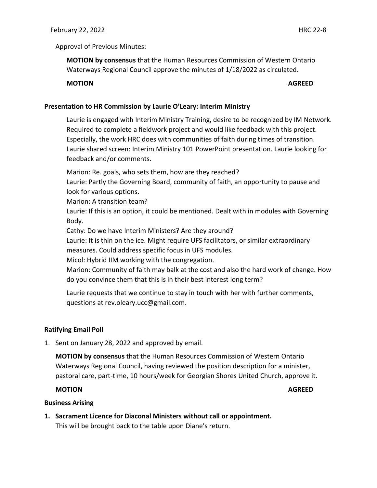#### Approval of Previous Minutes:

**MOTION by consensus** that the Human Resources Commission of Western Ontario Waterways Regional Council approve the minutes of 1/18/2022 as circulated.

# **MOTION AGREED**

#### **Presentation to HR Commission by Laurie O'Leary: Interim Ministry**

Laurie is engaged with Interim Ministry Training, desire to be recognized by IM Network. Required to complete a fieldwork project and would like feedback with this project. Especially, the work HRC does with communities of faith during times of transition. Laurie shared screen: Interim Ministry 101 PowerPoint presentation. Laurie looking for feedback and/or comments.

Marion: Re. goals, who sets them, how are they reached?

Laurie: Partly the Governing Board, community of faith, an opportunity to pause and look for various options.

Marion: A transition team?

Laurie: If this is an option, it could be mentioned. Dealt with in modules with Governing Body.

Cathy: Do we have Interim Ministers? Are they around?

Laurie: It is thin on the ice. Might require UFS facilitators, or similar extraordinary measures. Could address specific focus in UFS modules.

Micol: Hybrid IIM working with the congregation.

Marion: Community of faith may balk at the cost and also the hard work of change. How do you convince them that this is in their best interest long term?

Laurie requests that we continue to stay in touch with her with further comments, questions at rev.oleary.ucc@gmail.com.

# **Ratifying Email Poll**

1. Sent on January 28, 2022 and approved by email.

**MOTION by consensus** that the Human Resources Commission of Western Ontario Waterways Regional Council, having reviewed the position description for a minister, pastoral care, part-time, 10 hours/week for Georgian Shores United Church, approve it.

#### **MOTION AGREED**

#### **Business Arising**

**1. Sacrament Licence for Diaconal Ministers without call or appointment.** This will be brought back to the table upon Diane's return.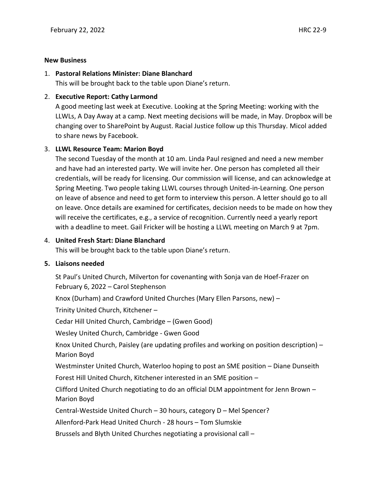#### **New Business**

#### 1. **Pastoral Relations Minister: Diane Blanchard**

This will be brought back to the table upon Diane's return.

# 2. **Executive Report: Cathy Larmond**

A good meeting last week at Executive. Looking at the Spring Meeting: working with the LLWLs, A Day Away at a camp. Next meeting decisions will be made, in May. Dropbox will be changing over to SharePoint by August. Racial Justice follow up this Thursday. Micol added to share news by Facebook.

# 3. **LLWL Resource Team: Marion Boyd**

The second Tuesday of the month at 10 am. Linda Paul resigned and need a new member and have had an interested party. We will invite her. One person has completed all their credentials, will be ready for licensing. Our commission will license, and can acknowledge at Spring Meeting. Two people taking LLWL courses through United-in-Learning. One person on leave of absence and need to get form to interview this person. A letter should go to all on leave. Once details are examined for certificates, decision needs to be made on how they will receive the certificates, e.g., a service of recognition. Currently need a yearly report with a deadline to meet. Gail Fricker will be hosting a LLWL meeting on March 9 at 7pm.

# 4. **United Fresh Start: Diane Blanchard**

This will be brought back to the table upon Diane's return.

# **5. Liaisons needed**

St Paul's United Church, Milverton for covenanting with Sonja van de Hoef-Frazer on February 6, 2022 – Carol Stephenson Knox (Durham) and Crawford United Churches (Mary Ellen Parsons, new) – Trinity United Church, Kitchener – Cedar Hill United Church, Cambridge – (Gwen Good) Wesley United Church, Cambridge - Gwen Good Knox United Church, Paisley (are updating profiles and working on position description) – Marion Boyd Westminster United Church, Waterloo hoping to post an SME position – Diane Dunseith Forest Hill United Church, Kitchener interested in an SME position – Clifford United Church negotiating to do an official DLM appointment for Jenn Brown – Marion Boyd Central-Westside United Church – 30 hours, category D – Mel Spencer? Allenford-Park Head United Church - 28 hours – Tom Slumskie Brussels and Blyth United Churches negotiating a provisional call –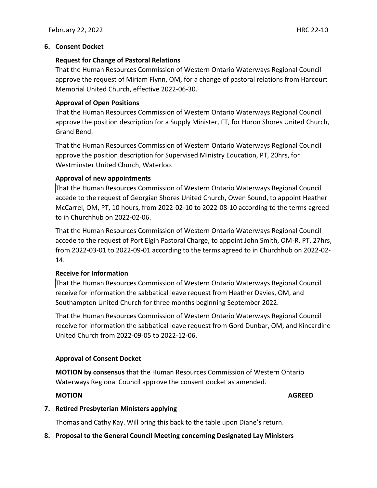#### **6. Consent Docket**

#### **Request for Change of Pastoral Relations**

That the Human Resources Commission of Western Ontario Waterways Regional Council approve the request of Miriam Flynn, OM, for a change of pastoral relations from Harcourt Memorial United Church, effective 2022-06-30.

#### **Approval of Open Positions**

That the Human Resources Commission of Western Ontario Waterways Regional Council approve the position description for a Supply Minister, FT, for Huron Shores United Church, Grand Bend.

That the Human Resources Commission of Western Ontario Waterways Regional Council approve the position description for Supervised Ministry Education, PT, 20hrs, for Westminster United Church, Waterloo.

# **Approval of new appointments**

That the Human Resources Commission of Western Ontario Waterways Regional Council accede to the request of Georgian Shores United Church, Owen Sound, to appoint Heather McCarrel, OM, PT, 10 hours, from 2022-02-10 to 2022-08-10 according to the terms agreed to in Churchhub on 2022-02-06.

That the Human Resources Commission of Western Ontario Waterways Regional Council accede to the request of Port Elgin Pastoral Charge, to appoint John Smith, OM-R, PT, 27hrs, from 2022-03-01 to 2022-09-01 according to the terms agreed to in Churchhub on 2022-02- 14.

# **Receive for Information**

That the Human Resources Commission of Western Ontario Waterways Regional Council receive for information the sabbatical leave request from Heather Davies, OM, and Southampton United Church for three months beginning September 2022.

That the Human Resources Commission of Western Ontario Waterways Regional Council receive for information the sabbatical leave request from Gord Dunbar, OM, and Kincardine United Church from 2022-09-05 to 2022-12-06.

# **Approval of Consent Docket**

**MOTION by consensus** that the Human Resources Commission of Western Ontario Waterways Regional Council approve the consent docket as amended.

#### **MOTION AGREED**

# **7. Retired Presbyterian Ministers applying**

Thomas and Cathy Kay. Will bring this back to the table upon Diane's return.

**8. Proposal to the General Council Meeting concerning Designated Lay Ministers**